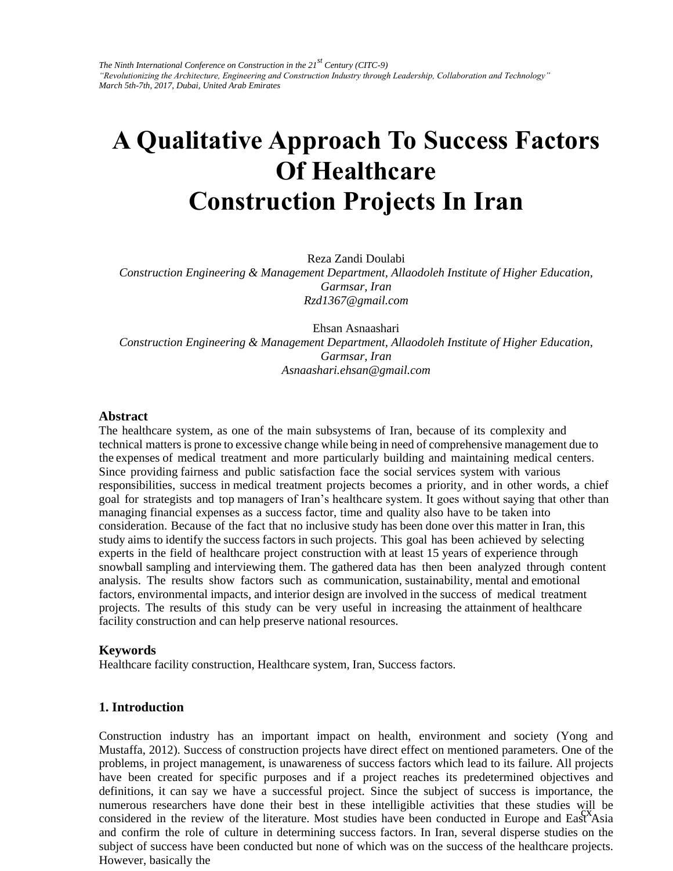# **A Qualitative Approach To Success Factors Of Healthcare Construction Projects In Iran**

Reza Zandi Doulabi

*Construction Engineering & Management Department, Allaodoleh Institute of Higher Education, Garmsar, Iran Rzd1367@gmail.com* 

Ehsan Asnaashari *Construction Engineering & Management Department, Allaodoleh Institute of Higher Education, Garmsar, Iran Asnaashari.ehsan@gmail.com* 

#### **Abstract**

The healthcare system, as one of the main subsystems of Iran, because of its complexity and technical matters is prone to excessive change while being in need of comprehensive management due to the expenses of medical treatment and more particularly building and maintaining medical centers. Since providing fairness and public satisfaction face the social services system with various responsibilities, success in medical treatment projects becomes a priority, and in other words, a chief goal for strategists and top managers of Iran's healthcare system. It goes without saying that other than managing financial expenses as a success factor, time and quality also have to be taken into consideration. Because of the fact that no inclusive study has been done over this matter in Iran, this study aims to identify the success factors in such projects. This goal has been achieved by selecting experts in the field of healthcare project construction with at least 15 years of experience through snowball sampling and interviewing them. The gathered data has then been analyzed through content analysis. The results show factors such as communication, sustainability, mental and emotional factors, environmental impacts, and interior design are involved in the success of medical treatment projects. The results of this study can be very useful in increasing the attainment of healthcare facility construction and can help preserve national resources.

#### **Keywords**

Healthcare facility construction, Healthcare system, Iran, Success factors.

#### **1. Introduction**

considered in the review of the literature. Most studies have been conducted in Europe and East Asia considered in the review of the interature. Most studies have been conducted in Europe and East Asia<br>and confirm the role of culture in determining success factors. In Iran, several disperse studies on the Construction industry has an important impact on health, environment and society (Yong and Mustaffa, 2012). Success of construction projects have direct effect on mentioned parameters. One of the problems, in project management, is unawareness of success factors which lead to its failure. All projects have been created for specific purposes and if a project reaches its predetermined objectives and definitions, it can say we have a successful project. Since the subject of success is importance, the numerous researchers have done their best in these intelligible activities that these studies will be subject of success have been conducted but none of which was on the success of the healthcare projects. However, basically the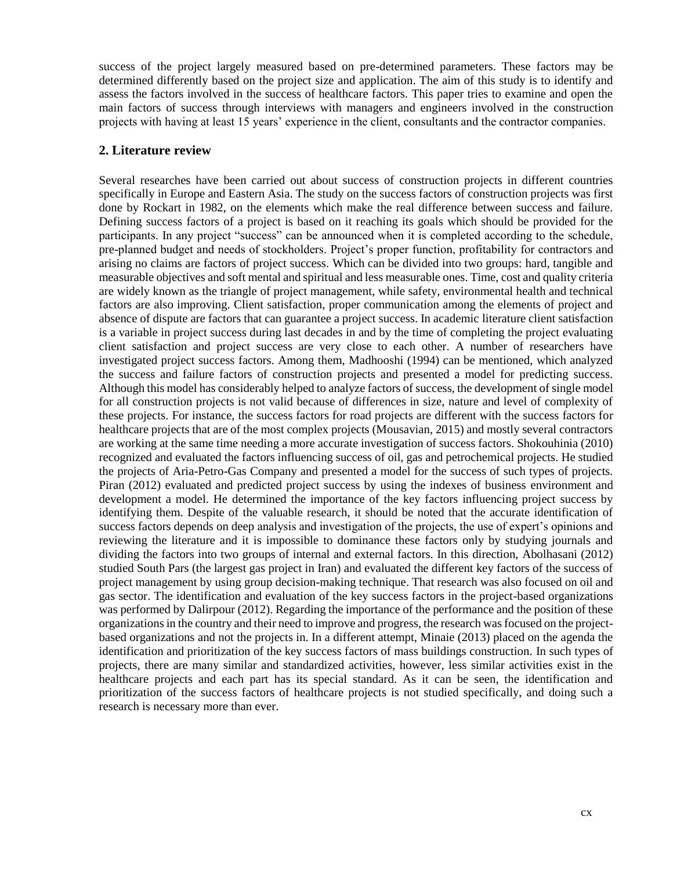success of the project largely measured based on pre-determined parameters. These factors may be determined differently based on the project size and application. The aim of this study is to identify and assess the factors involved in the success of healthcare factors. This paper tries to examine and open the main factors of success through interviews with managers and engineers involved in the construction projects with having at least 15 years' experience in the client, consultants and the contractor companies.

#### **2. Literature review**

Several researches have been carried out about success of construction projects in different countries specifically in Europe and Eastern Asia. The study on the success factors of construction projects was first done by Rockart in 1982, on the elements which make the real difference between success and failure. Defining success factors of a project is based on it reaching its goals which should be provided for the participants. In any project "success" can be announced when it is completed according to the schedule, pre-planned budget and needs of stockholders. Project's proper function, profitability for contractors and arising no claims are factors of project success. Which can be divided into two groups: hard, tangible and measurable objectives and soft mental and spiritual and less measurable ones. Time, cost and quality criteria are widely known as the triangle of project management, while safety, environmental health and technical factors are also improving. Client satisfaction, proper communication among the elements of project and absence of dispute are factors that can guarantee a project success. In academic literature client satisfaction is a variable in project success during last decades in and by the time of completing the project evaluating client satisfaction and project success are very close to each other. A number of researchers have investigated project success factors. Among them, Madhooshi (1994) can be mentioned, which analyzed the success and failure factors of construction projects and presented a model for predicting success. Although this model has considerably helped to analyze factors of success, the development of single model for all construction projects is not valid because of differences in size, nature and level of complexity of these projects. For instance, the success factors for road projects are different with the success factors for healthcare projects that are of the most complex projects (Mousavian, 2015) and mostly several contractors are working at the same time needing a more accurate investigation of success factors. Shokouhinia (2010) recognized and evaluated the factors influencing success of oil, gas and petrochemical projects. He studied the projects of Aria-Petro-Gas Company and presented a model for the success of such types of projects. Piran (2012) evaluated and predicted project success by using the indexes of business environment and development a model. He determined the importance of the key factors influencing project success by identifying them. Despite of the valuable research, it should be noted that the accurate identification of success factors depends on deep analysis and investigation of the projects, the use of expert's opinions and reviewing the literature and it is impossible to dominance these factors only by studying journals and dividing the factors into two groups of internal and external factors. In this direction, Abolhasani (2012) studied South Pars (the largest gas project in Iran) and evaluated the different key factors of the success of project management by using group decision-making technique. That research was also focused on oil and gas sector. The identification and evaluation of the key success factors in the project-based organizations was performed by Dalirpour (2012). Regarding the importance of the performance and the position of these organizations in the country and their need to improve and progress, the research was focused on the projectbased organizations and not the projects in. In a different attempt, Minaie (2013) placed on the agenda the identification and prioritization of the key success factors of mass buildings construction. In such types of projects, there are many similar and standardized activities, however, less similar activities exist in the healthcare projects and each part has its special standard. As it can be seen, the identification and prioritization of the success factors of healthcare projects is not studied specifically, and doing such a research is necessary more than ever.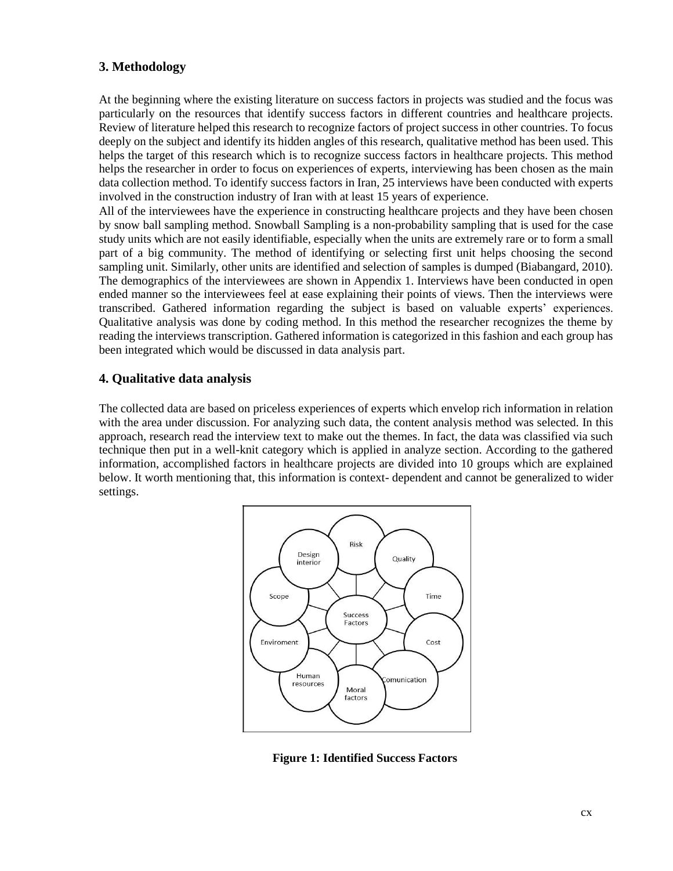# **3. Methodology**

At the beginning where the existing literature on success factors in projects was studied and the focus was particularly on the resources that identify success factors in different countries and healthcare projects. Review of literature helped this research to recognize factors of project success in other countries. To focus deeply on the subject and identify its hidden angles of this research, qualitative method has been used. This helps the target of this research which is to recognize success factors in healthcare projects. This method helps the researcher in order to focus on experiences of experts, interviewing has been chosen as the main data collection method. To identify success factors in Iran, 25 interviews have been conducted with experts involved in the construction industry of Iran with at least 15 years of experience.

All of the interviewees have the experience in constructing healthcare projects and they have been chosen by snow ball sampling method. Snowball Sampling is a non-probability sampling that is used for the case study units which are not easily identifiable, especially when the units are extremely rare or to form a small part of a big community. The method of identifying or selecting first unit helps choosing the second sampling unit. Similarly, other units are identified and selection of samples is dumped (Biabangard, 2010). The demographics of the interviewees are shown in Appendix 1. Interviews have been conducted in open ended manner so the interviewees feel at ease explaining their points of views. Then the interviews were transcribed. Gathered information regarding the subject is based on valuable experts' experiences. Qualitative analysis was done by coding method. In this method the researcher recognizes the theme by reading the interviews transcription. Gathered information is categorized in this fashion and each group has been integrated which would be discussed in data analysis part.

# **4. Qualitative data analysis**

The collected data are based on priceless experiences of experts which envelop rich information in relation with the area under discussion. For analyzing such data, the content analysis method was selected. In this approach, research read the interview text to make out the themes. In fact, the data was classified via such technique then put in a well-knit category which is applied in analyze section. According to the gathered information, accomplished factors in healthcare projects are divided into 10 groups which are explained below. It worth mentioning that, this information is context- dependent and cannot be generalized to wider settings.



**Figure 1: Identified Success Factors**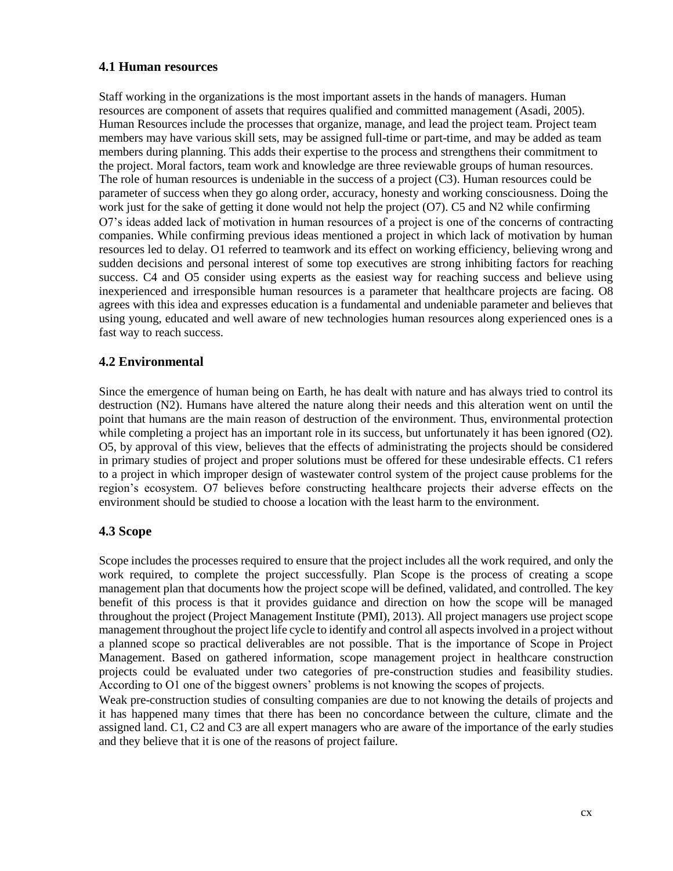#### **4.1 Human resources**

Staff working in the organizations is the most important assets in the hands of managers. Human resources are component of assets that requires qualified and committed management (Asadi, 2005). Human Resources include the processes that organize, manage, and lead the project team. Project team members may have various skill sets, may be assigned full-time or part-time, and may be added as team members during planning. This adds their expertise to the process and strengthens their commitment to the project. Moral factors, team work and knowledge are three reviewable groups of human resources. The role of human resources is undeniable in the success of a project (C3). Human resources could be parameter of success when they go along order, accuracy, honesty and working consciousness. Doing the work just for the sake of getting it done would not help the project (O7). C5 and N2 while confirming O7's ideas added lack of motivation in human resources of a project is one of the concerns of contracting companies. While confirming previous ideas mentioned a project in which lack of motivation by human resources led to delay. O1 referred to teamwork and its effect on working efficiency, believing wrong and sudden decisions and personal interest of some top executives are strong inhibiting factors for reaching success. C4 and O5 consider using experts as the easiest way for reaching success and believe using inexperienced and irresponsible human resources is a parameter that healthcare projects are facing. O8 agrees with this idea and expresses education is a fundamental and undeniable parameter and believes that using young, educated and well aware of new technologies human resources along experienced ones is a fast way to reach success.

# **4.2 Environmental**

Since the emergence of human being on Earth, he has dealt with nature and has always tried to control its destruction (N2). Humans have altered the nature along their needs and this alteration went on until the point that humans are the main reason of destruction of the environment. Thus, environmental protection while completing a project has an important role in its success, but unfortunately it has been ignored (O2). O5, by approval of this view, believes that the effects of administrating the projects should be considered in primary studies of project and proper solutions must be offered for these undesirable effects. C1 refers to a project in which improper design of wastewater control system of the project cause problems for the region's ecosystem. O7 believes before constructing healthcare projects their adverse effects on the environment should be studied to choose a location with the least harm to the environment.

#### **4.3 Scope**

Scope includes the processes required to ensure that the project includes all the work required, and only the work required, to complete the project successfully. Plan Scope is the process of creating a scope management plan that documents how the project scope will be defined, validated, and controlled. The key benefit of this process is that it provides guidance and direction on how the scope will be managed throughout the project (Project Management Institute (PMI), 2013). All project managers use project scope management throughout the project life cycle to identify and control all aspects involved in a project without a planned scope so practical deliverables are not possible. That is the importance of Scope in Project Management. Based on gathered information, scope management project in healthcare construction projects could be evaluated under two categories of pre-construction studies and feasibility studies. According to O1 one of the biggest owners' problems is not knowing the scopes of projects.

Weak pre-construction studies of consulting companies are due to not knowing the details of projects and it has happened many times that there has been no concordance between the culture, climate and the assigned land. C1, C2 and C3 are all expert managers who are aware of the importance of the early studies and they believe that it is one of the reasons of project failure.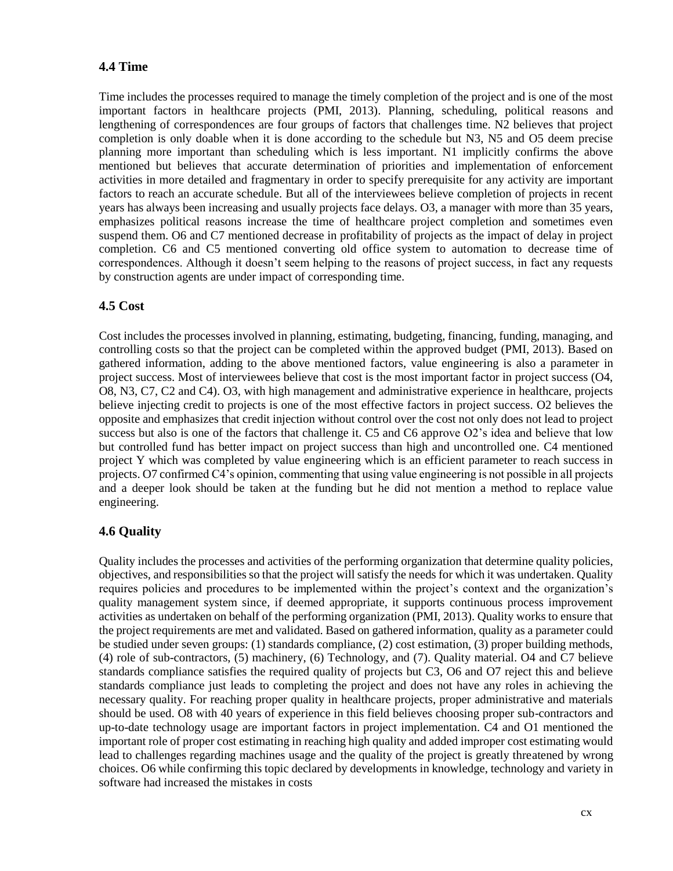# **4.4 Time**

Time includes the processes required to manage the timely completion of the project and is one of the most important factors in healthcare projects (PMI, 2013). Planning, scheduling, political reasons and lengthening of correspondences are four groups of factors that challenges time. N2 believes that project completion is only doable when it is done according to the schedule but N3, N5 and O5 deem precise planning more important than scheduling which is less important. N1 implicitly confirms the above mentioned but believes that accurate determination of priorities and implementation of enforcement activities in more detailed and fragmentary in order to specify prerequisite for any activity are important factors to reach an accurate schedule. But all of the interviewees believe completion of projects in recent years has always been increasing and usually projects face delays. O3, a manager with more than 35 years, emphasizes political reasons increase the time of healthcare project completion and sometimes even suspend them. O6 and C7 mentioned decrease in profitability of projects as the impact of delay in project completion. C6 and C5 mentioned converting old office system to automation to decrease time of correspondences. Although it doesn't seem helping to the reasons of project success, in fact any requests by construction agents are under impact of corresponding time.

#### **4.5 Cost**

Cost includes the processes involved in planning, estimating, budgeting, financing, funding, managing, and controlling costs so that the project can be completed within the approved budget (PMI, 2013). Based on gathered information, adding to the above mentioned factors, value engineering is also a parameter in project success. Most of interviewees believe that cost is the most important factor in project success (O4, O8, N3, C7, C2 and C4). O3, with high management and administrative experience in healthcare, projects believe injecting credit to projects is one of the most effective factors in project success. O2 believes the opposite and emphasizes that credit injection without control over the cost not only does not lead to project success but also is one of the factors that challenge it. C5 and C6 approve O2's idea and believe that low but controlled fund has better impact on project success than high and uncontrolled one. C4 mentioned project Y which was completed by value engineering which is an efficient parameter to reach success in projects. O7 confirmed C4's opinion, commenting that using value engineering is not possible in all projects and a deeper look should be taken at the funding but he did not mention a method to replace value engineering.

#### **4.6 Quality**

Quality includes the processes and activities of the performing organization that determine quality policies, objectives, and responsibilities so that the project will satisfy the needs for which it was undertaken. Quality requires policies and procedures to be implemented within the project's context and the organization's quality management system since, if deemed appropriate, it supports continuous process improvement activities as undertaken on behalf of the performing organization (PMI, 2013). Quality works to ensure that the project requirements are met and validated. Based on gathered information, quality as a parameter could be studied under seven groups: (1) standards compliance, (2) cost estimation, (3) proper building methods, (4) role of sub-contractors, (5) machinery, (6) Technology, and (7). Quality material. O4 and C7 believe standards compliance satisfies the required quality of projects but C3, O6 and O7 reject this and believe standards compliance just leads to completing the project and does not have any roles in achieving the necessary quality. For reaching proper quality in healthcare projects, proper administrative and materials should be used. O8 with 40 years of experience in this field believes choosing proper sub-contractors and up-to-date technology usage are important factors in project implementation. C4 and O1 mentioned the important role of proper cost estimating in reaching high quality and added improper cost estimating would lead to challenges regarding machines usage and the quality of the project is greatly threatened by wrong choices. O6 while confirming this topic declared by developments in knowledge, technology and variety in software had increased the mistakes in costs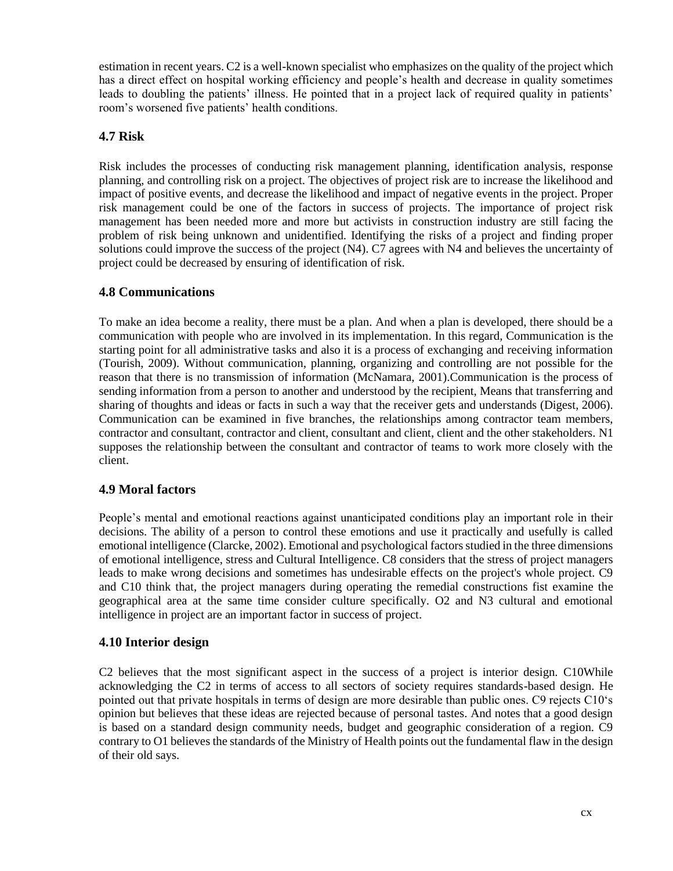estimation in recent years. C2 is a well-known specialist who emphasizes on the quality of the project which has a direct effect on hospital working efficiency and people's health and decrease in quality sometimes leads to doubling the patients' illness. He pointed that in a project lack of required quality in patients' room's worsened five patients' health conditions.

### **4.7 Risk**

Risk includes the processes of conducting risk management planning, identification analysis, response planning, and controlling risk on a project. The objectives of project risk are to increase the likelihood and impact of positive events, and decrease the likelihood and impact of negative events in the project. Proper risk management could be one of the factors in success of projects. The importance of project risk management has been needed more and more but activists in construction industry are still facing the problem of risk being unknown and unidentified. Identifying the risks of a project and finding proper solutions could improve the success of the project (N4). C7 agrees with N4 and believes the uncertainty of project could be decreased by ensuring of identification of risk.

#### **4.8 Communications**

To make an idea become a reality, there must be a plan. And when a plan is developed, there should be a communication with people who are involved in its implementation. In this regard, Communication is the starting point for all administrative tasks and also it is a process of exchanging and receiving information (Tourish, 2009). Without communication, planning, organizing and controlling are not possible for the reason that there is no transmission of information (McNamara, 2001).Communication is the process of sending information from a person to another and understood by the recipient, Means that transferring and sharing of thoughts and ideas or facts in such a way that the receiver gets and understands (Digest, 2006). Communication can be examined in five branches, the relationships among contractor team members, contractor and consultant, contractor and client, consultant and client, client and the other stakeholders. N1 supposes the relationship between the consultant and contractor of teams to work more closely with the client.

# **4.9 Moral factors**

People's mental and emotional reactions against unanticipated conditions play an important role in their decisions. The ability of a person to control these emotions and use it practically and usefully is called emotional intelligence (Clarcke, 2002). Emotional and psychological factors studied in the three dimensions of emotional intelligence, stress and Cultural Intelligence. C8 considers that the stress of project managers leads to make wrong decisions and sometimes has undesirable effects on the project's whole project. C9 and C10 think that, the project managers during operating the remedial constructions fist examine the geographical area at the same time consider culture specifically. O2 and N3 cultural and emotional intelligence in project are an important factor in success of project.

# **4.10 Interior design**

C2 believes that the most significant aspect in the success of a project is interior design. C10While acknowledging the C2 in terms of access to all sectors of society requires standards-based design. He pointed out that private hospitals in terms of design are more desirable than public ones. C9 rejects C10's opinion but believes that these ideas are rejected because of personal tastes. And notes that a good design is based on a standard design community needs, budget and geographic consideration of a region. C9 contrary to O1 believes the standards of the Ministry of Health points out the fundamental flaw in the design of their old says.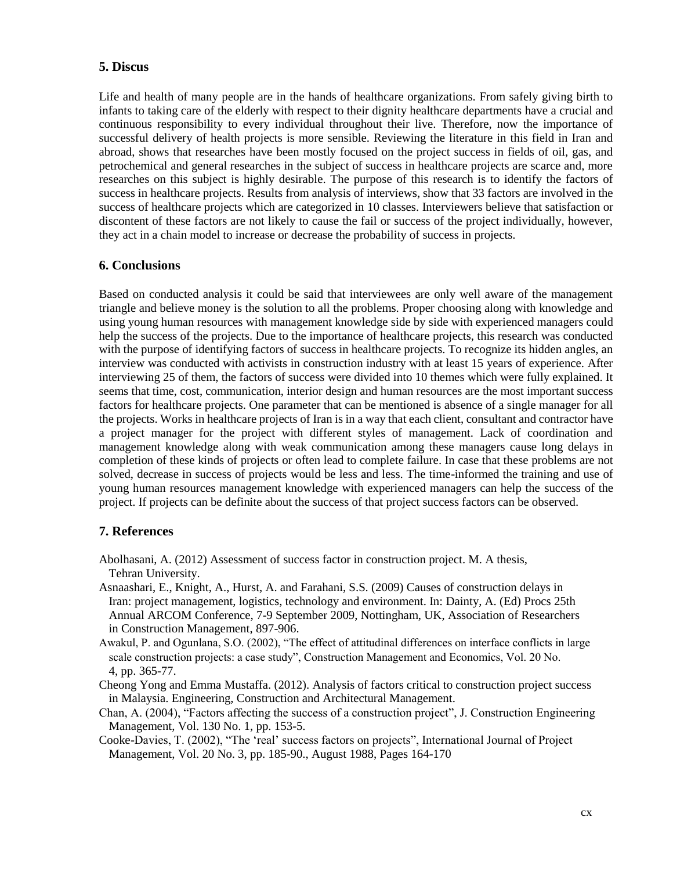#### **5. Discus**

Life and health of many people are in the hands of healthcare organizations. From safely giving birth to infants to taking care of the elderly with respect to their dignity healthcare departments have a crucial and continuous responsibility to every individual throughout their live. Therefore, now the importance of successful delivery of health projects is more sensible. Reviewing the literature in this field in Iran and abroad, shows that researches have been mostly focused on the project success in fields of oil, gas, and petrochemical and general researches in the subject of success in healthcare projects are scarce and, more researches on this subject is highly desirable. The purpose of this research is to identify the factors of success in healthcare projects. Results from analysis of interviews, show that 33 factors are involved in the success of healthcare projects which are categorized in 10 classes. Interviewers believe that satisfaction or discontent of these factors are not likely to cause the fail or success of the project individually, however, they act in a chain model to increase or decrease the probability of success in projects.

#### **6. Conclusions**

Based on conducted analysis it could be said that interviewees are only well aware of the management triangle and believe money is the solution to all the problems. Proper choosing along with knowledge and using young human resources with management knowledge side by side with experienced managers could help the success of the projects. Due to the importance of healthcare projects, this research was conducted with the purpose of identifying factors of success in healthcare projects. To recognize its hidden angles, an interview was conducted with activists in construction industry with at least 15 years of experience. After interviewing 25 of them, the factors of success were divided into 10 themes which were fully explained. It seems that time, cost, communication, interior design and human resources are the most important success factors for healthcare projects. One parameter that can be mentioned is absence of a single manager for all the projects. Works in healthcare projects of Iran is in a way that each client, consultant and contractor have a project manager for the project with different styles of management. Lack of coordination and management knowledge along with weak communication among these managers cause long delays in completion of these kinds of projects or often lead to complete failure. In case that these problems are not solved, decrease in success of projects would be less and less. The time-informed the training and use of young human resources management knowledge with experienced managers can help the success of the project. If projects can be definite about the success of that project success factors can be observed.

#### **7. References**

- Abolhasani, A. (2012) Assessment of success factor in construction project. M. A thesis, Tehran University.
- Asnaashari, E., Knight, A., Hurst, A. and Farahani, S.S. (2009) Causes of construction delays in Iran: project management, logistics, technology and environment. In: Dainty, A. (Ed) Procs 25th Annual ARCOM Conference, 7-9 September 2009, Nottingham, UK, Association of Researchers in Construction Management, 897-906.
- Awakul, P. and Ogunlana, S.O. (2002), "The effect of attitudinal differences on interface conflicts in large scale construction projects: a case study", Construction Management and Economics, Vol. 20 No. 4, pp. 365-77.
- Cheong Yong and Emma Mustaffa. (2012). Analysis of factors critical to construction project success in Malaysia. Engineering, Construction and Architectural Management.
- Chan, A. (2004), "Factors affecting the success of a construction project", J. Construction Engineering Management, Vol. 130 No. 1, pp. 153-5.
- Cooke-Davies, T. (2002), "The 'real' success factors on projects", International Journal of Project Management, Vol. 20 No. 3, pp. 185-90., August 1988, Pages 164-170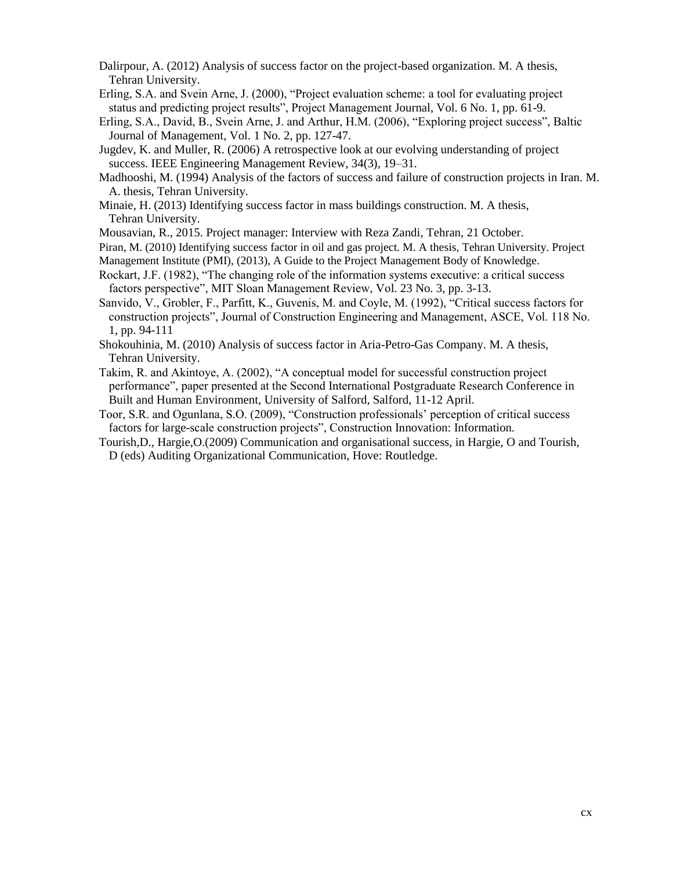- Dalirpour, A. (2012) Analysis of success factor on the project-based organization. M. A thesis, Tehran University.
- Erling, S.A. and Svein Arne, J. (2000), "Project evaluation scheme: a tool for evaluating project status and predicting project results", Project Management Journal, Vol. 6 No. 1, pp. 61-9.
- Erling, S.A., David, B., Svein Arne, J. and Arthur, H.M. (2006), "Exploring project success", Baltic Journal of Management, Vol. 1 No. 2, pp. 127-47.
- Jugdev, K. and Muller, R. (2006) A retrospective look at our evolving understanding of project success. IEEE Engineering Management Review, 34(3), 19–31.
- Madhooshi, M. (1994) Analysis of the factors of success and failure of construction projects in Iran. M. A. thesis, Tehran University.
- Minaie, H. (2013) Identifying success factor in mass buildings construction. M. A thesis, Tehran University.
- Mousavian, R., 2015. Project manager: Interview with Reza Zandi, Tehran, 21 October.
- Piran, M. (2010) Identifying success factor in oil and gas project. M. A thesis, Tehran University. Project Management Institute (PMI), (2013), A Guide to the Project Management Body of Knowledge.
- Rockart, J.F. (1982), "The changing role of the information systems executive: a critical success factors perspective", MIT Sloan Management Review, Vol. 23 No. 3, pp. 3-13.
- Sanvido, V., Grobler, F., Parfitt, K., Guvenis, M. and Coyle, M. (1992), "Critical success factors for construction projects", Journal of Construction Engineering and Management, ASCE, Vol. 118 No. 1, pp. 94-111
- Shokouhinia, M. (2010) Analysis of success factor in Aria-Petro-Gas Company. M. A thesis, Tehran University.
- Takim, R. and Akintoye, A. (2002), "A conceptual model for successful construction project performance", paper presented at the Second International Postgraduate Research Conference in Built and Human Environment, University of Salford, Salford, 11-12 April.
- Toor, S.R. and Ogunlana, S.O. (2009), "Construction professionals' perception of critical success factors for large-scale construction projects", Construction Innovation: Information.
- Tourish,D., Hargie,O.(2009) Communication and organisational success, in Hargie, O and Tourish, D (eds) Auditing Organizational Communication, Hove: Routledge.